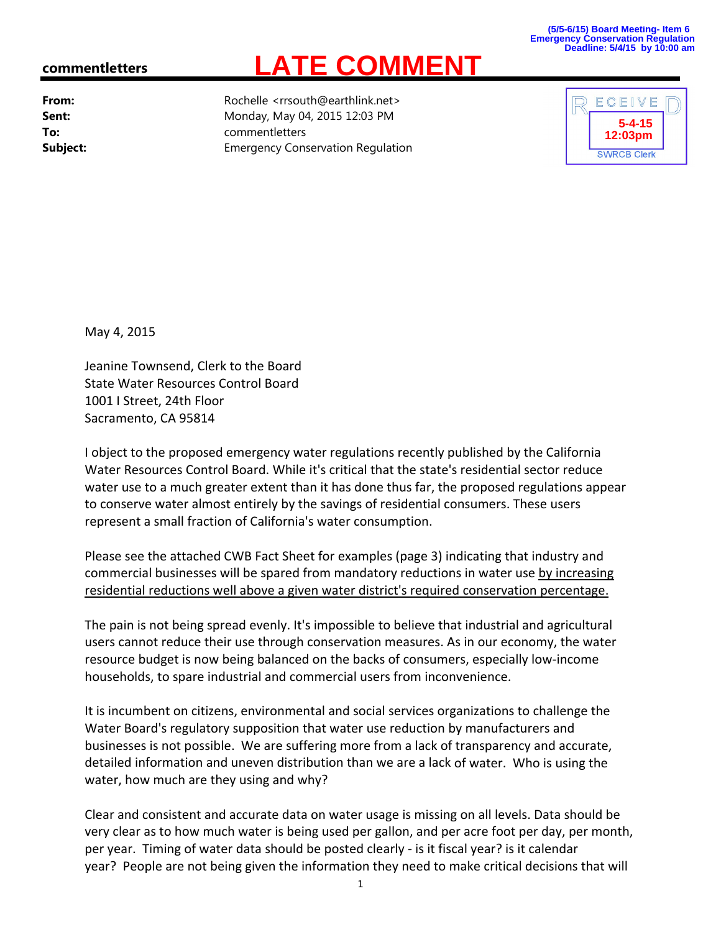## **(5/5-6/15) Board Meeting- Item 6 Emergency Conservation Regulation Deadline: 5/4/15 by 10:00 am**

## **commentletters**

**From:** Rochelle <rrsouth@earthlink.net> **Sent:** Monday, May 04, 2015 12:03 PM **To:** commentletters **Subject:** Emergency Conservation Regulation

**LATE COMMENT**



May 4, 2015

Jeanine Townsend, Clerk to the Board State Water Resources Control Board 1001 I Street, 24th Floor Sacramento, CA 95814

I object to the proposed emergency water regulations recently published by the California Water Resources Control Board. While it's critical that the state's residential sector reduce water use to a much greater extent than it has done thus far, the proposed regulations appear to conserve water almost entirely by the savings of residential consumers. These users represent a small fraction of California's water consumption.

Please see the attached CWB Fact Sheet for examples (page 3) indicating that industry and commercial businesses will be spared from mandatory reductions in water use by increasing residential reductions well above a given water district's required conservation percentage.

The pain is not being spread evenly. It's impossible to believe that industrial and agricultural users cannot reduce their use through conservation measures. As in our economy, the water resource budget is now being balanced on the backs of consumers, especially low‐income households, to spare industrial and commercial users from inconvenience.

It is incumbent on citizens, environmental and social services organizations to challenge the Water Board's regulatory supposition that water use reduction by manufacturers and businesses is not possible. We are suffering more from a lack of transparency and accurate, detailed information and uneven distribution than we are a lack of water. Who is using the water, how much are they using and why?

Clear and consistent and accurate data on water usage is missing on all levels. Data should be very clear as to how much water is being used per gallon, and per acre foot per day, per month, per year. Timing of water data should be posted clearly ‐ is it fiscal year? is it calendar year? People are not being given the information they need to make critical decisions that will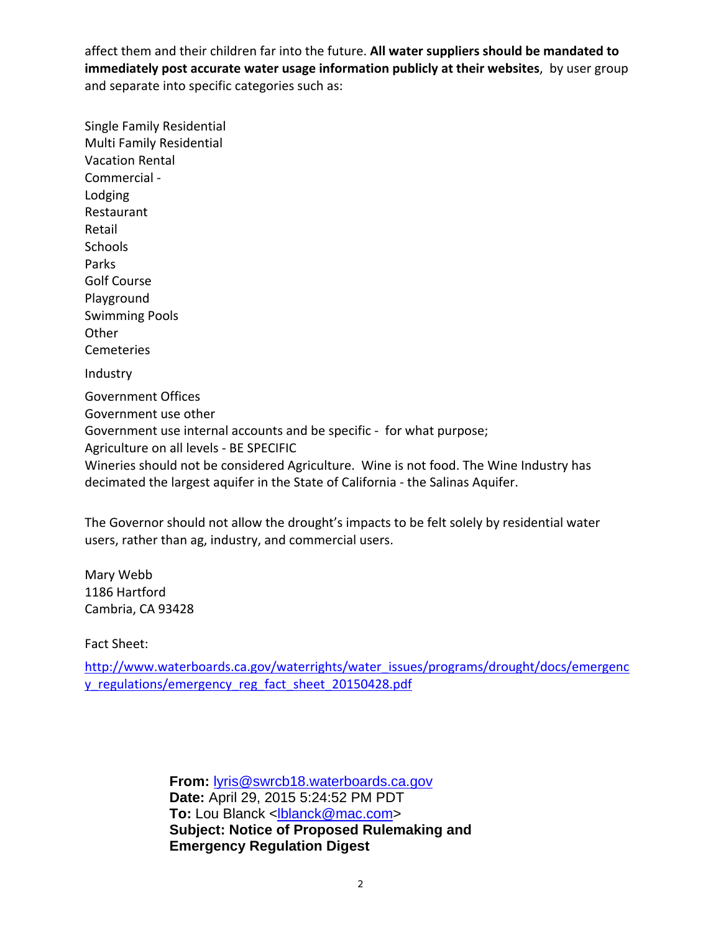affect them and their children far into the future. **All water suppliers should be mandated to immediately post accurate water usage information publicly at their websites**, by user group and separate into specific categories such as:

Single Family Residential Multi Family Residential Vacation Rental Commercial ‐ Lodging Restaurant Retail Schools Parks Golf Course Playground Swimming Pools **Other** Cemeteries **Industry** Government Offices Government use other Government use internal accounts and be specific ‐ for what purpose; Agriculture on all levels ‐ BE SPECIFIC Wineries should not be considered Agriculture. Wine is not food. The Wine Industry has decimated the largest aquifer in the State of California ‐ the Salinas Aquifer.

The Governor should not allow the drought's impacts to be felt solely by residential water users, rather than ag, industry, and commercial users.

Mary Webb 1186 Hartford Cambria, CA 93428

Fact Sheet:

http://www.waterboards.ca.gov/waterrights/water\_issues/programs/drought/docs/emergenc y\_regulations/emergency\_reg\_fact\_sheet\_20150428.pdf

> **From:** lyris@swrcb18.waterboards.ca.gov **Date:** April 29, 2015 5:24:52 PM PDT To: Lou Blanck <lblanck@mac.com> **Subject: Notice of Proposed Rulemaking and Emergency Regulation Digest**